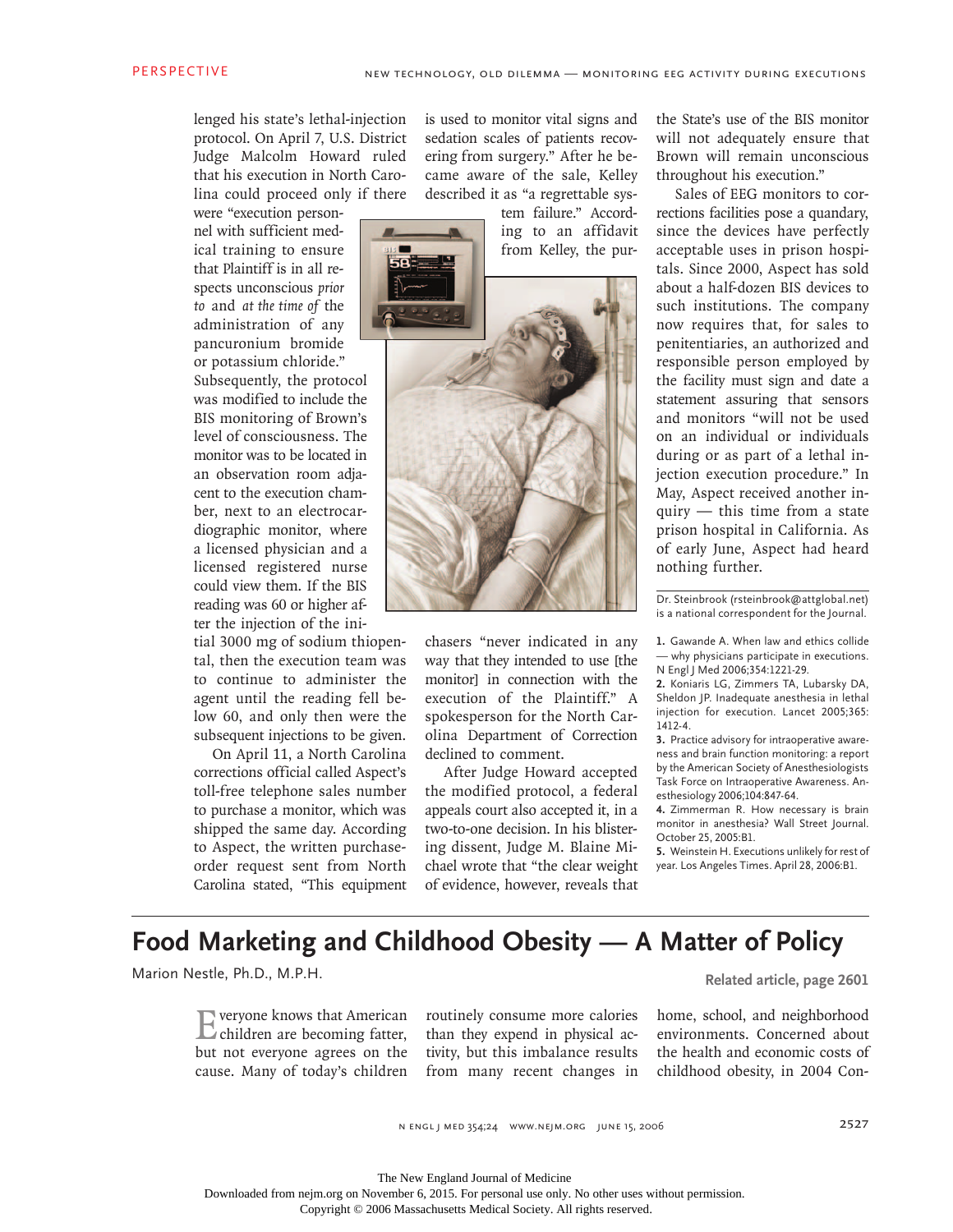lenged his state's lethal-injection protocol. On April 7, U.S. District Judge Malcolm Howard ruled that his execution in North Carolina could proceed only if there

were "execution personnel with sufficient medical training to ensure that Plaintiff is in all respects unconscious *prior to* and *at the time of* the administration of any pancuronium bromide or potassium chloride."

Subsequently, the protocol was modified to include the BIS monitoring of Brown's level of consciousness. The monitor was to be located in an observation room adjacent to the execution chamber, next to an electrocardiographic monitor, where a licensed physician and a licensed registered nurse could view them. If the BIS reading was 60 or higher after the injection of the ini-

tial 3000 mg of sodium thiopental, then the execution team was to continue to administer the agent until the reading fell below 60, and only then were the subsequent injections to be given.

On April 11, a North Carolina corrections official called Aspect's toll-free telephone sales number to purchase a monitor, which was shipped the same day. According to Aspect, the written purchaseorder request sent from North Carolina stated, "This equipment

is used to monitor vital signs and sedation scales of patients recovering from surgery." After he became aware of the sale, Kelley described it as "a regrettable sys-

tem failure." According to an affidavit from Kelley, the pur-



chasers "never indicated in any way that they intended to use [the monitor] in connection with the execution of the Plaintiff." A spokesperson for the North Carolina Department of Correction declined to comment.

After Judge Howard accepted the modified protocol, a federal appeals court also accepted it, in a two-to-one decision. In his blistering dissent, Judge M. Blaine Michael wrote that "the clear weight of evidence, however, reveals that

the State's use of the BIS monitor will not adequately ensure that Brown will remain unconscious throughout his execution."

Sales of EEG monitors to corrections facilities pose a quandary, since the devices have perfectly acceptable uses in prison hospitals. Since 2000, Aspect has sold about a half-dozen BIS devices to such institutions. The company now requires that, for sales to penitentiaries, an authorized and responsible person employed by the facility must sign and date a statement assuring that sensors and monitors "will not be used on an individual or individuals during or as part of a lethal injection execution procedure." In May, Aspect received another inquiry — this time from a state prison hospital in California. As of early June, Aspect had heard nothing further.

Dr. Steinbrook (rsteinbrook@attglobal.net) is a national correspondent for the Journal.

1. Gawande A. When law and ethics collide — why physicians participate in executions. N Engl J Med 2006;354:1221-29.

2. Koniaris LG, Zimmers TA, Lubarsky DA, Sheldon JP. Inadequate anesthesia in lethal injection for execution. Lancet 2005;365: 1412-4.

3. Practice advisory for intraoperative awareness and brain function monitoring: a report by the American Society of Anesthesiologists Task Force on Intraoperative Awareness. Anesthesiology 2006;104:847-64.

4. Zimmerman R. How necessary is brain monitor in anesthesia? Wall Street Journal. October 25, 2005:B1.

5. Weinstein H. Executions unlikely for rest of year. Los Angeles Times. April 28, 2006:B1.

## **Food Marketing and Childhood Obesity — A Matter of Policy**

Marion Nestle, Ph.D., M.P.H. **Related article, page 2601** 

veryone knows that American children are becoming fatter, but not everyone agrees on the cause. Many of today's children

routinely consume more calories than they expend in physical activity, but this imbalance results from many recent changes in

home, school, and neighborhood environments. Concerned about the health and economic costs of childhood obesity, in 2004 Con-

n engl j med 354;24 www.nejm.org june 15, 2006

The New England Journal of Medicine

Downloaded from nejm.org on November 6, 2015. For personal use only. No other uses without permission.

Copyright © 2006 Massachusetts Medical Society. All rights reserved.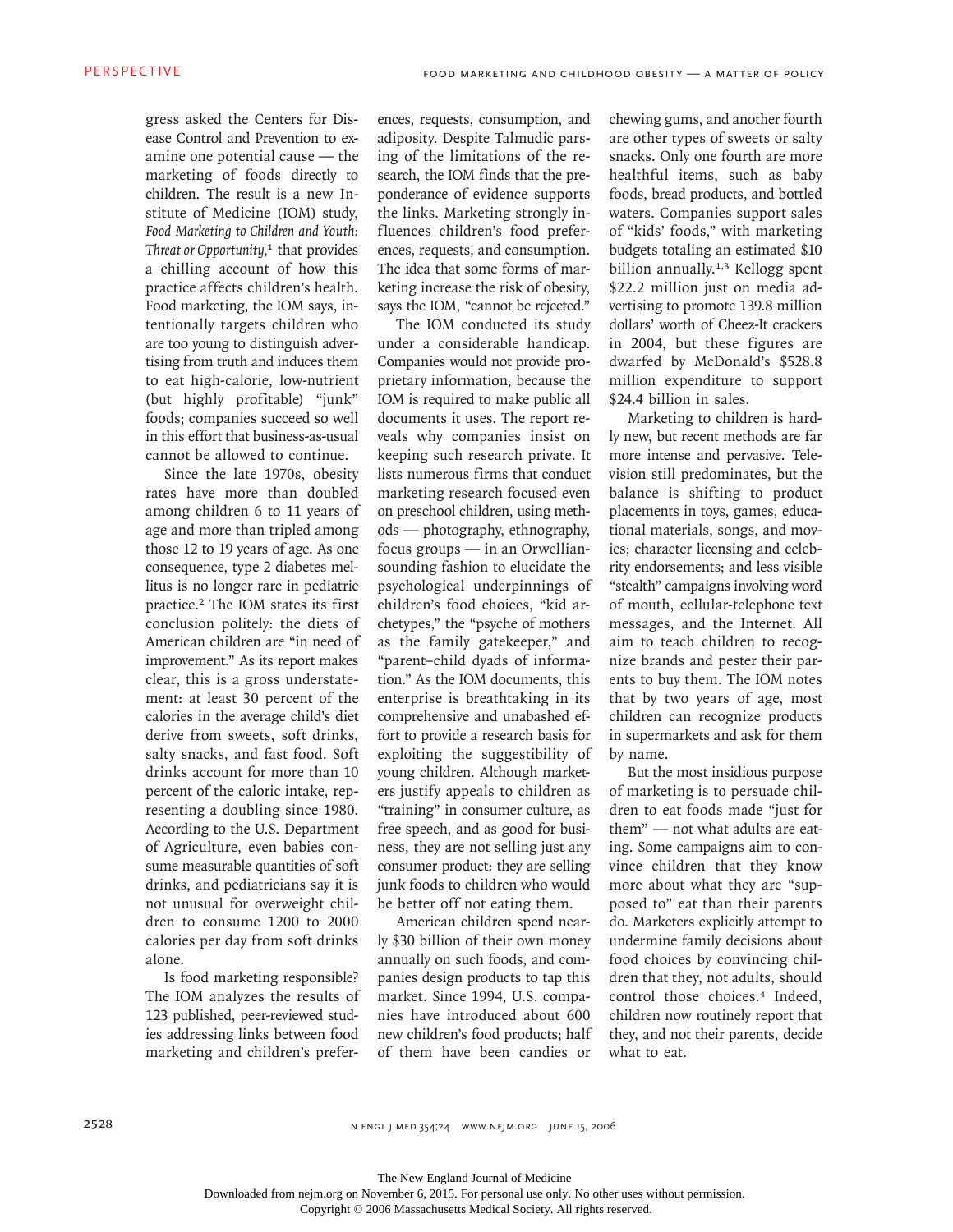gress asked the Centers for Disease Control and Prevention to examine one potential cause — the marketing of foods directly to children. The result is a new Institute of Medicine (IOM) study, *Food Marketing to Children and Youth: Threat or Opportunity,*<sup>1</sup> that provides a chilling account of how this practice affects children's health. Food marketing, the IOM says, intentionally targets children who are too young to distinguish advertising from truth and induces them to eat high-calorie, low-nutrient (but highly profitable) "junk" foods; companies succeed so well in this effort that business-as-usual cannot be allowed to continue.

Since the late 1970s, obesity rates have more than doubled among children 6 to 11 years of age and more than tripled among those 12 to 19 years of age. As one consequence, type 2 diabetes mellitus is no longer rare in pediatric practice.<sup>2</sup> The IOM states its first conclusion politely: the diets of American children are "in need of improvement." As its report makes clear, this is a gross understatement: at least 30 percent of the calories in the average child's diet derive from sweets, soft drinks, salty snacks, and fast food. Soft drinks account for more than 10 percent of the caloric intake, representing a doubling since 1980. According to the U.S. Department of Agriculture, even babies consume measurable quantities of soft drinks, and pediatricians say it is not unusual for overweight children to consume 1200 to 2000 calories per day from soft drinks alone.

Is food marketing responsible? The IOM analyzes the results of 123 published, peer-reviewed studies addressing links between food marketing and children's prefer-

ences, requests, consumption, and adiposity. Despite Talmudic parsing of the limitations of the research, the IOM finds that the preponderance of evidence supports the links. Marketing strongly influences children's food preferences, requests, and consumption. The idea that some forms of marketing increase the risk of obesity, says the IOM, "cannot be rejected."

The IOM conducted its study under a considerable handicap. Companies would not provide proprietary information, because the IOM is required to make public all documents it uses. The report reveals why companies insist on keeping such research private. It lists numerous firms that conduct marketing research focused even on preschool children, using methods — photography, ethnography, focus groups — in an Orwelliansounding fashion to elucidate the psychological underpinnings of children's food choices, "kid archetypes," the "psyche of mothers as the family gatekeeper," and "parent–child dyads of information." As the IOM documents, this enterprise is breathtaking in its comprehensive and unabashed effort to provide a research basis for exploiting the suggestibility of young children. Although marketers justify appeals to children as "training" in consumer culture, as free speech, and as good for business, they are not selling just any consumer product: they are selling junk foods to children who would be better off not eating them.

American children spend nearly \$30 billion of their own money annually on such foods, and companies design products to tap this market. Since 1994, U.S. companies have introduced about 600 new children's food products; half of them have been candies or

chewing gums, and another fourth are other types of sweets or salty snacks. Only one fourth are more healthful items, such as baby foods, bread products, and bottled waters. Companies support sales of "kids' foods," with marketing budgets totaling an estimated \$10 billion annually.<sup>1,3</sup> Kellogg spent \$22.2 million just on media advertising to promote 139.8 million dollars' worth of Cheez-It crackers in 2004, but these figures are dwarfed by McDonald's \$528.8 million expenditure to support \$24.4 billion in sales.

Marketing to children is hardly new, but recent methods are far more intense and pervasive. Television still predominates, but the balance is shifting to product placements in toys, games, educational materials, songs, and movies; character licensing and celebrity endorsements; and less visible "stealth" campaigns involving word of mouth, cellular-telephone text messages, and the Internet. All aim to teach children to recognize brands and pester their parents to buy them. The IOM notes that by two years of age, most children can recognize products in supermarkets and ask for them by name.

But the most insidious purpose of marketing is to persuade children to eat foods made "just for them" — not what adults are eating. Some campaigns aim to convince children that they know more about what they are "supposed to" eat than their parents do. Marketers explicitly attempt to undermine family decisions about food choices by convincing children that they, not adults, should control those choices.<sup>4</sup> Indeed, children now routinely report that they, and not their parents, decide what to eat.

The New England Journal of Medicine

Downloaded from nejm.org on November 6, 2015. For personal use only. No other uses without permission.

Copyright © 2006 Massachusetts Medical Society. All rights reserved.